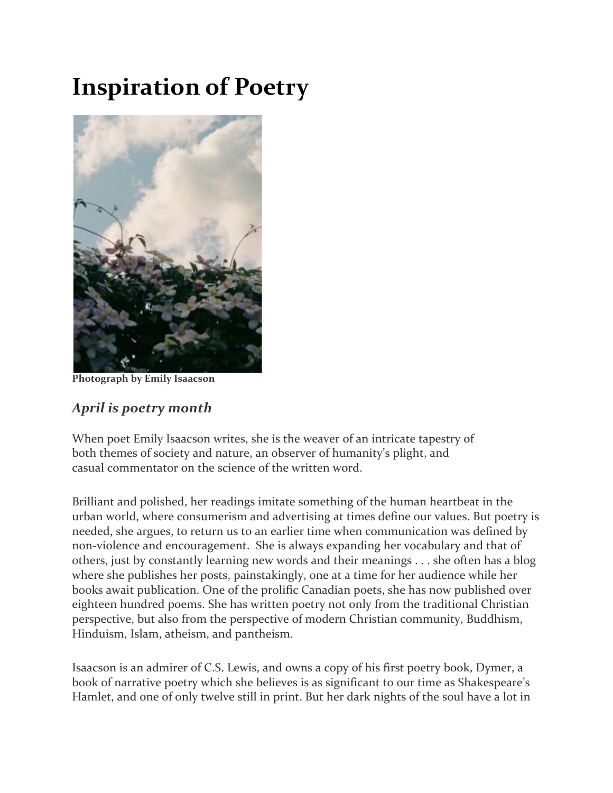## **Inspiration of Poetry**



**Photograph by Emily Isaacson** 

## *April is poetry month*

When poet Emily Isaacson writes, she is the weaver of an intricate tapestry of both themes of society and nature, an observer of humanity's plight, and casual commentator on the science of the written word.

Brilliant and polished, her readings imitate something of the human heartbeat in the urban world, where consumerism and advertising at times define our values. But poetry is needed, she argues, to return us to an earlier time when communication was defined by non-violence and encouragement. She is always expanding her vocabulary and that of others, just by constantly learning new words and their meanings . . . she often has a blog where she publishes her posts, painstakingly, one at a time for her audience while her books await publication. One of the prolific Canadian poets, she has now published over eighteen hundred poems. She has written poetry not only from the traditional Christian perspective, but also from the perspective of modern Christian community, Buddhism, Hinduism, Islam, atheism, and pantheism.

Isaacson is an admirer of C.S. Lewis, and owns a copy of his first poetry book, Dymer, a book of narrative poetry which she believes is as significant to our time as Shakespeare's Hamlet, and one of only twelve still in print. But her dark nights of the soul have a lot in